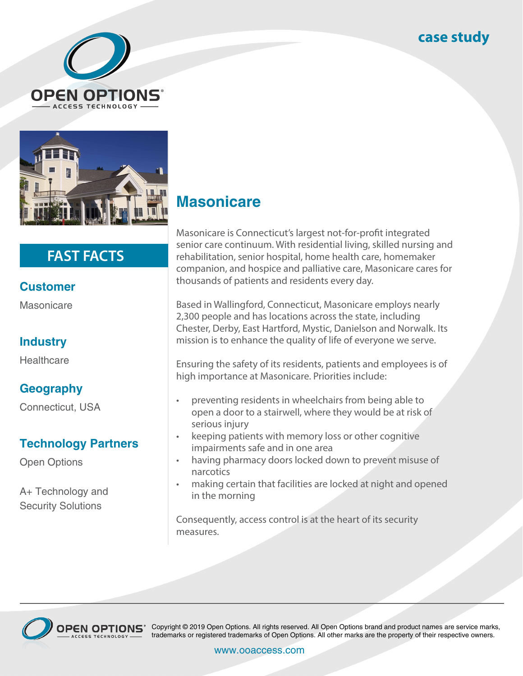## **case study**





# **FAST FACTS**

### **Customer**

Masonicare

### **Industry**

**Healthcare** 

### **Geography**

Connecticut, USA

#### **Technology Partners**

Open Options

A+ Technology and Security Solutions

# **Masonicare**

Masonicare is Connecticut's largest not-for-profit integrated senior care continuum. With residential living, skilled nursing and rehabilitation, senior hospital, home health care, homemaker companion, and hospice and palliative care, Masonicare cares for thousands of patients and residents every day.

Based in Wallingford, Connecticut, Masonicare employs nearly 2,300 people and has locations across the state, including Chester, Derby, East Hartford, Mystic, Danielson and Norwalk. Its mission is to enhance the quality of life of everyone we serve.

Ensuring the safety of its residents, patients and employees is of high importance at Masonicare. Priorities include:

- preventing residents in wheelchairs from being able to open a door to a stairwell, where they would be at risk of serious injury
- keeping patients with memory loss or other cognitive impairments safe and in one area
- having pharmacy doors locked down to prevent misuse of narcotics
- making certain that facilities are locked at night and opened in the morning

Consequently, access control is at the heart of its security measures.



OPEN OPTIONS<sup>®</sup> Copyright © 2019 Open Options. All rights reserved. All Open Options brand and product names are service marks, trademarks or registered trademarks of Open Options. All other marks are the property of their respective owners.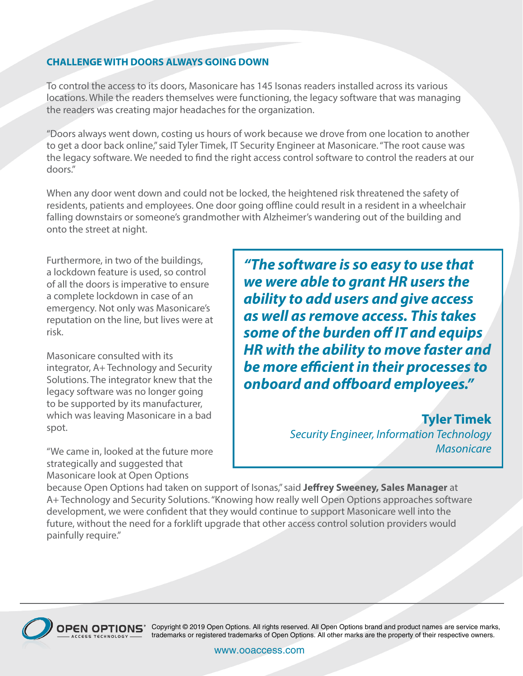#### **CHALLENGE WITH DOORS ALWAYS GOING DOWN**

To control the access to its doors, Masonicare has 145 Isonas readers installed across its various locations. While the readers themselves were functioning, the legacy software that was managing the readers was creating major headaches for the organization.

"Doors always went down, costing us hours of work because we drove from one location to another to get a door back online," said Tyler Timek, IT Security Engineer at Masonicare. "The root cause was the legacy software. We needed to find the right access control software to control the readers at our doors."

When any door went down and could not be locked, the heightened risk threatened the safety of residents, patients and employees. One door going offline could result in a resident in a wheelchair falling downstairs or someone's grandmother with Alzheimer's wandering out of the building and onto the street at night.

Furthermore, in two of the buildings, a lockdown feature is used, so control of all the doors is imperative to ensure a complete lockdown in case of an emergency. Not only was Masonicare's reputation on the line, but lives were at risk.

Masonicare consulted with its integrator, A+ Technology and Security Solutions. The integrator knew that the legacy software was no longer going to be supported by its manufacturer, which was leaving Masonicare in a bad spot.

"We came in, looked at the future more strategically and suggested that Masonicare look at Open Options

*"The software is so easy to use that we were able to grant HR users the ability to add users and give access as well as remove access. This takes some of the burden off IT and equips HR with the ability to move faster and be more efficient in their processes to onboard and offboard employees."*

> **Tyler Timek** *Security Engineer, Information Technology Masonicare*

because Open Options had taken on support of Isonas," said **Jeffrey Sweeney, Sales Manager** at A+ Technology and Security Solutions. "Knowing how really well Open Options approaches software development, we were confident that they would continue to support Masonicare well into the future, without the need for a forklift upgrade that other access control solution providers would painfully require."



OPEN OPTIONS<sup>®</sup> Copyright © 2019 Open Options. All rights reserved. All Open Options brand and product names are service marks, trademarks or registered trademarks of Open Options. All other marks are the property of their respective owners.